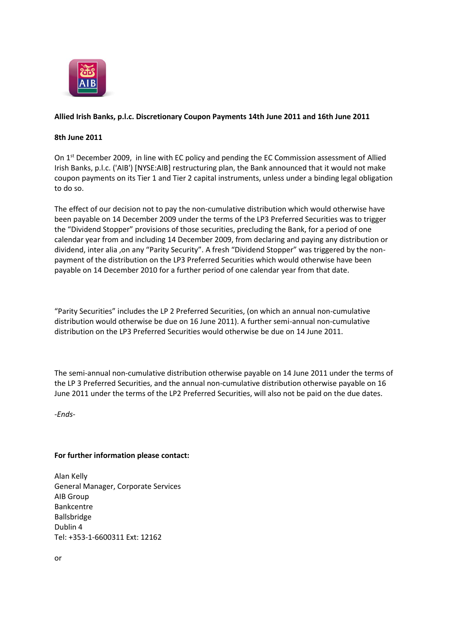

## **Allied Irish Banks, p.l.c. Discretionary Coupon Payments 14th June 2011 and 16th June 2011**

## **8th June 2011**

On 1<sup>st</sup> December 2009, in line with EC policy and pending the EC Commission assessment of Allied Irish Banks, p.l.c. ('AIB') [NYSE:AIB] restructuring plan, the Bank announced that it would not make coupon payments on its Tier 1 and Tier 2 capital instruments, unless under a binding legal obligation to do so.

The effect of our decision not to pay the non-cumulative distribution which would otherwise have been payable on 14 December 2009 under the terms of the LP3 Preferred Securities was to trigger the "Dividend Stopper" provisions of those securities, precluding the Bank, for a period of one calendar year from and including 14 December 2009, from declaring and paying any distribution or dividend, inter alia ,on any "Parity Security". A fresh "Dividend Stopper" was triggered by the nonpayment of the distribution on the LP3 Preferred Securities which would otherwise have been payable on 14 December 2010 for a further period of one calendar year from that date.

"Parity Securities" includes the LP 2 Preferred Securities, (on which an annual non-cumulative distribution would otherwise be due on 16 June 2011). A further semi-annual non-cumulative distribution on the LP3 Preferred Securities would otherwise be due on 14 June 2011.

The semi-annual non-cumulative distribution otherwise payable on 14 June 2011 under the terms of the LP 3 Preferred Securities, and the annual non-cumulative distribution otherwise payable on 16 June 2011 under the terms of the LP2 Preferred Securities, will also not be paid on the due dates.

*-Ends-*

## **For further information please contact:**

Alan Kelly General Manager, Corporate Services AIB Group Bankcentre Ballsbridge Dublin 4 Tel: +353-1-6600311 Ext: 12162

or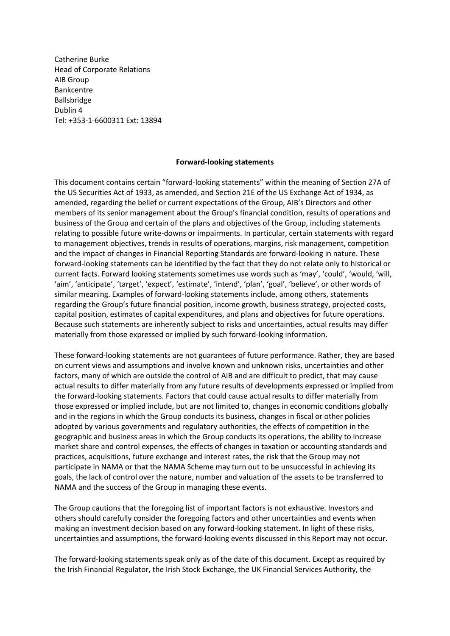Catherine Burke Head of Corporate Relations AIB Group Bankcentre Ballsbridge Dublin 4 Tel: +353-1-6600311 Ext: 13894

## **Forward-looking statements**

This document contains certain "forward-looking statements" within the meaning of Section 27A of the US Securities Act of 1933, as amended, and Section 21E of the US Exchange Act of 1934, as amended, regarding the belief or current expectations of the Group, AIB's Directors and other members of its senior management about the Group's financial condition, results of operations and business of the Group and certain of the plans and objectives of the Group, including statements relating to possible future write-downs or impairments. In particular, certain statements with regard to management objectives, trends in results of operations, margins, risk management, competition and the impact of changes in Financial Reporting Standards are forward-looking in nature. These forward-looking statements can be identified by the fact that they do not relate only to historical or current facts. Forward looking statements sometimes use words such as 'may', 'could', 'would, 'will, 'aim', 'anticipate', 'target', 'expect', 'estimate', 'intend', 'plan', 'goal', 'believe', or other words of similar meaning. Examples of forward-looking statements include, among others, statements regarding the Group's future financial position, income growth, business strategy, projected costs, capital position, estimates of capital expenditures, and plans and objectives for future operations. Because such statements are inherently subject to risks and uncertainties, actual results may differ materially from those expressed or implied by such forward-looking information.

These forward-looking statements are not guarantees of future performance. Rather, they are based on current views and assumptions and involve known and unknown risks, uncertainties and other factors, many of which are outside the control of AIB and are difficult to predict, that may cause actual results to differ materially from any future results of developments expressed or implied from the forward-looking statements. Factors that could cause actual results to differ materially from those expressed or implied include, but are not limited to, changes in economic conditions globally and in the regions in which the Group conducts its business, changes in fiscal or other policies adopted by various governments and regulatory authorities, the effects of competition in the geographic and business areas in which the Group conducts its operations, the ability to increase market share and control expenses, the effects of changes in taxation or accounting standards and practices, acquisitions, future exchange and interest rates, the risk that the Group may not participate in NAMA or that the NAMA Scheme may turn out to be unsuccessful in achieving its goals, the lack of control over the nature, number and valuation of the assets to be transferred to NAMA and the success of the Group in managing these events.

The Group cautions that the foregoing list of important factors is not exhaustive. Investors and others should carefully consider the foregoing factors and other uncertainties and events when making an investment decision based on any forward-looking statement. In light of these risks, uncertainties and assumptions, the forward-looking events discussed in this Report may not occur.

The forward-looking statements speak only as of the date of this document. Except as required by the Irish Financial Regulator, the Irish Stock Exchange, the UK Financial Services Authority, the